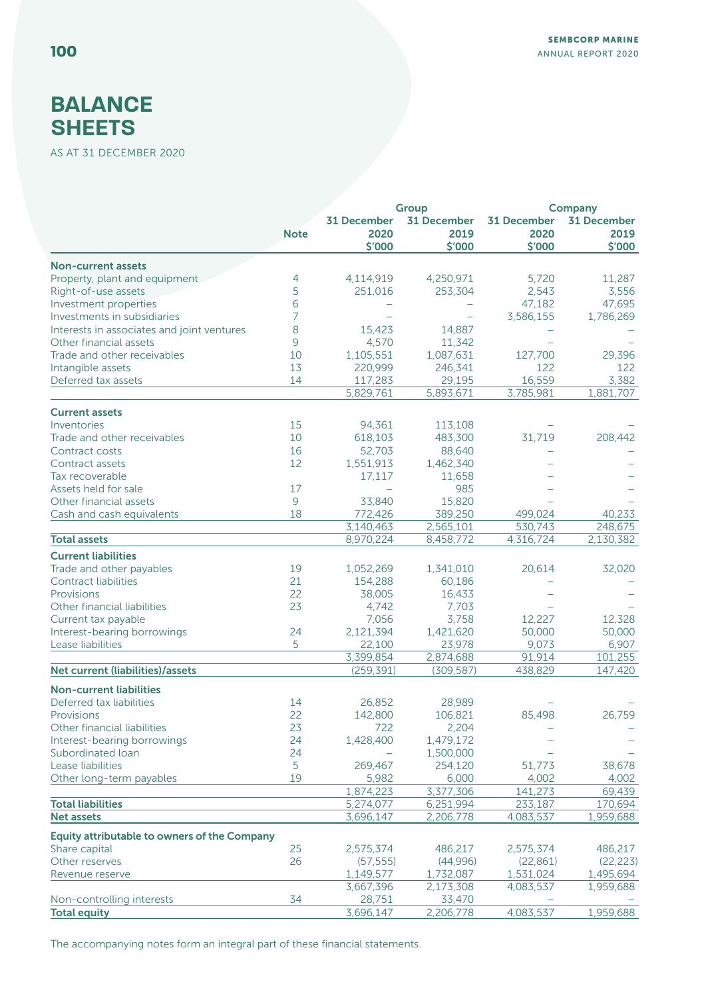## **BALANCE SHEETS**

AS AT 31 DECEMBER 2020

|                                              |             |                          | Group               |                     | Company            |  |
|----------------------------------------------|-------------|--------------------------|---------------------|---------------------|--------------------|--|
|                                              |             | <b>31 December</b>       | <b>31 December</b>  | <b>31 December</b>  | <b>31 December</b> |  |
|                                              | <b>Note</b> | 2020                     | 2019                | 2020                | 2019               |  |
|                                              |             | \$'000                   | \$'000              | \$'000              | \$'000             |  |
| <b>Non-current assets</b>                    |             |                          |                     |                     |                    |  |
| Property, plant and equipment                | 4           | 4,114,919                | 4,250,971           | 5,720               | 11,287             |  |
| Right-of-use assets                          | 5           | 251,016                  | 253,304             | 2,543               | 3,556              |  |
| Investment properties                        | 6           |                          |                     | 47,182              | 47,695             |  |
| Investments in subsidiaries                  | 7           |                          |                     | 3,586,155           | 1,786,269          |  |
| Interests in associates and joint ventures   | 8           | 15,423                   | 14.887              |                     |                    |  |
| Other financial assets                       | 9           | 4,570                    | 11,342              |                     |                    |  |
| Trade and other receivables                  | 10          | 1,105,551                | 1,087,631           | 127,700             | 29,396             |  |
| Intangible assets                            | 13          |                          |                     | 122                 |                    |  |
|                                              |             | 220,999                  | 246,341             |                     | 122                |  |
| Deferred tax assets                          | 14          | 117,283<br>5,829,761     | 29,195<br>5,893,671 | 16,559<br>3,785,981 | 3,382<br>1,881,707 |  |
|                                              |             |                          |                     |                     |                    |  |
| <b>Current assets</b>                        |             |                          |                     |                     |                    |  |
| Inventories                                  | 15          | 94,361                   | 113,108             |                     |                    |  |
| Trade and other receivables                  | 10          | 618,103                  | 483,300             | 31,719              | 208,442            |  |
| Contract costs                               | 16          | 52,703                   | 88,640              |                     |                    |  |
| Contract assets                              | 12          | 1,551,913                | 1,462,340           |                     |                    |  |
| Tax recoverable                              |             | 17,117                   | 11,658              |                     |                    |  |
| Assets held for sale                         | 17          | $\overline{\phantom{0}}$ | 985                 |                     |                    |  |
| Other financial assets                       | 9           | 33,840                   | 15,820              |                     |                    |  |
| Cash and cash equivalents                    | 18          | 772,426                  | 389,250             | 499,024             | 40,233             |  |
|                                              |             | 3,140,463                | 2,565,101           | 530,743             | 248,675            |  |
| <b>Total assets</b>                          |             | 8,970,224                | 8,458,772           | 4,316,724           | 2,130,382          |  |
| <b>Current liabilities</b>                   |             |                          |                     |                     |                    |  |
| Trade and other payables                     | 19          | 1,052,269                | 1,341,010           | 20,614              | 32,020             |  |
| <b>Contract liabilities</b>                  | 21          | 154,288                  | 60,186              |                     |                    |  |
| Provisions                                   | 22          | 38,005                   | 16,433              |                     |                    |  |
| Other financial liabilities                  | 23          | 4,742                    | 7,703               |                     |                    |  |
| Current tax payable                          |             | 7,056                    | 3,758               | 12,227              | 12,328             |  |
| Interest-bearing borrowings                  | 24          | 2,121,394                | 1,421,620           | 50,000              | 50,000             |  |
| Lease liabilities                            | 5           | 22,100                   | 23,978              | 9,073               | 6,907              |  |
|                                              |             | 3,399,854                | 2,874,688           | 91,914              | 101,255            |  |
| Net current (liabilities)/assets             |             | (259, 391)               | (309, 587)          | 438,829             | 147,420            |  |
|                                              |             |                          |                     |                     |                    |  |
| <b>Non-current liabilities</b>               |             |                          |                     |                     |                    |  |
| Deferred tax liabilities                     | 14          | 26,852                   | 28,989              |                     |                    |  |
| Provisions                                   | 22          | 142,800                  | 106,821             | 85,498              | 26,759             |  |
| Other financial liabilities                  | 23          | 722                      | 2,204               |                     |                    |  |
| Interest-bearing borrowings                  | 24          | 1,428,400                | 1,479,172           |                     |                    |  |
| Subordinated loan                            | 24          |                          | 1,500,000           |                     |                    |  |
| Lease liabilities                            | 5           | 269,467                  | 254,120             | 51,773              | 38,678             |  |
| Other long-term payables                     | 19          | 5,982                    | 6,000               | 4,002               | 4,002              |  |
|                                              |             | 1,874,223                | 3,377,306           | 141,273             | 69,439             |  |
| <b>Total liabilities</b>                     |             | 5,274,077                | 6,251,994           | 233,187             | 170,694            |  |
| <b>Net assets</b>                            |             | 3,696,147                | 2,206,778           | 4,083,537           | 1,959,688          |  |
| Equity attributable to owners of the Company |             |                          |                     |                     |                    |  |
| Share capital                                | 25          | 2,575,374                | 486,217             | 2,575,374           | 486,217            |  |
| Other reserves                               | 26          | (57, 555)                | (44,996)            | (22, 861)           | (22, 223)          |  |
| Revenue reserve                              |             | 1,149,577                | 1,732,087           | 1,531,024           | 1,495,694          |  |
|                                              |             | 3,667,396                | 2,173,308           | 4,083,537           | 1,959,688          |  |
| Non-controlling interests                    | 34          | 28,751                   | 33,470              |                     |                    |  |
| <b>Total equity</b>                          |             | 3,696,147                | 2,206,778           | 4,083,537           | 1,959,688          |  |
|                                              |             |                          |                     |                     |                    |  |

The accompanying notes form an integral part of these financial statements.